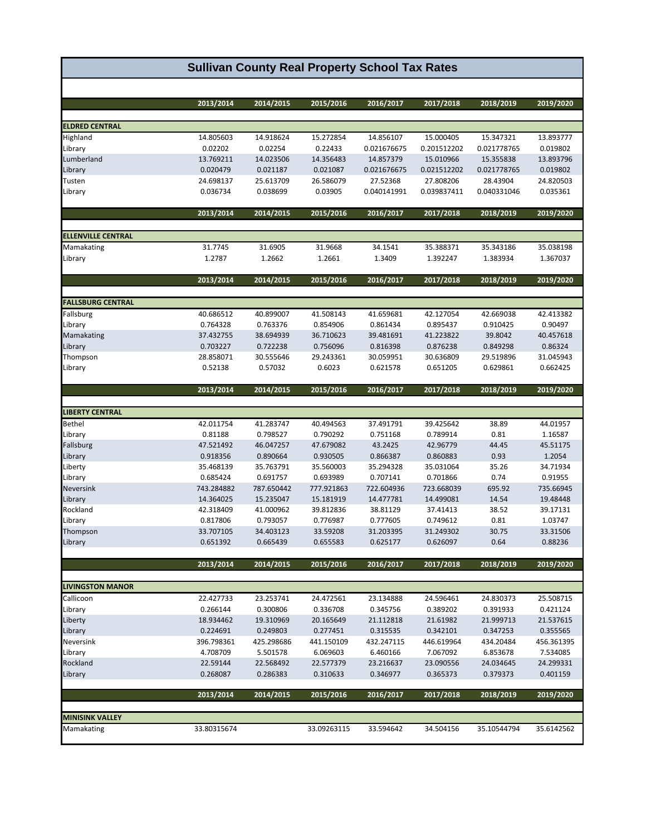| <b>Sullivan County Real Property School Tax Rates</b> |                   |                   |                   |                   |                       |                       |                       |  |
|-------------------------------------------------------|-------------------|-------------------|-------------------|-------------------|-----------------------|-----------------------|-----------------------|--|
|                                                       |                   |                   |                   |                   |                       |                       |                       |  |
|                                                       | 2013/2014         | 2014/2015         | 2015/2016         | 2016/2017         | 2017/2018             | 2018/2019             | 2019/2020             |  |
| <b>ELDRED CENTRAL</b>                                 |                   |                   |                   |                   |                       |                       |                       |  |
| Highland                                              | 14.805603         | 14.918624         | 15.272854         | 14.856107         | 15.000405             | 15.347321             | 13.893777             |  |
| Library                                               | 0.02202           | 0.02254           | 0.22433           | 0.021676675       | 0.201512202           | 0.021778765           | 0.019802              |  |
| Lumberland                                            | 13.769211         | 14.023506         | 14.356483         | 14.857379         | 15.010966             | 15.355838             | 13.893796             |  |
| Library                                               | 0.020479          | 0.021187          | 0.021087          | 0.021676675       | 0.021512202           | 0.021778765           | 0.019802              |  |
| Tusten                                                | 24.698137         | 25.613709         | 26.586079         | 27.52368          | 27.808206             | 28.43904              | 24.820503             |  |
| Library                                               | 0.036734          | 0.038699          | 0.03905           | 0.040141991       | 0.039837411           | 0.040331046           | 0.035361              |  |
|                                                       |                   |                   |                   |                   |                       |                       |                       |  |
|                                                       | 2013/2014         | 2014/2015         | 2015/2016         | 2016/2017         | 2017/2018             | 2018/2019             | 2019/2020             |  |
|                                                       |                   |                   |                   |                   |                       |                       |                       |  |
| <b>ELLENVILLE CENTRAL</b>                             |                   |                   |                   |                   |                       |                       |                       |  |
| Mamakating<br>Library                                 | 31.7745<br>1.2787 | 31.6905<br>1.2662 | 31.9668<br>1.2661 | 34.1541<br>1.3409 | 35.388371<br>1.392247 | 35.343186<br>1.383934 | 35.038198<br>1.367037 |  |
|                                                       |                   |                   |                   |                   |                       |                       |                       |  |
|                                                       | 2013/2014         | 2014/2015         | 2015/2016         | 2016/2017         | 2017/2018             | 2018/2019             | 2019/2020             |  |
|                                                       |                   |                   |                   |                   |                       |                       |                       |  |
| <b>FALLSBURG CENTRAL</b>                              |                   |                   |                   |                   |                       |                       |                       |  |
| Fallsburg                                             | 40.686512         | 40.899007         | 41.508143         | 41.659681         | 42.127054             | 42.669038             | 42.413382             |  |
| Library                                               | 0.764328          | 0.763376          | 0.854906          | 0.861434          | 0.895437              | 0.910425              | 0.90497               |  |
| Mamakating                                            | 37.432755         | 38.694939         | 36.710623         | 39.481691         | 41.223822             | 39.8042               | 40.457618             |  |
| Library                                               | 0.703227          | 0.722238          | 0.756096          | 0.816398          | 0.876238              | 0.849298              | 0.86324               |  |
| Thompson                                              | 28.858071         | 30.555646         | 29.243361         | 30.059951         | 30.636809             | 29.519896             | 31.045943             |  |
| Library                                               | 0.52138           | 0.57032           | 0.6023            | 0.621578          | 0.651205              | 0.629861              | 0.662425              |  |
|                                                       | 2013/2014         | 2014/2015         | 2015/2016         | 2016/2017         | 2017/2018             | 2018/2019             | 2019/2020             |  |
| <b>LIBERTY CENTRAL</b>                                |                   |                   |                   |                   |                       |                       |                       |  |
| Bethel                                                | 42.011754         | 41.283747         | 40.494563         | 37.491791         | 39.425642             | 38.89                 | 44.01957              |  |
| Library                                               | 0.81188           | 0.798527          | 0.790292          | 0.751168          | 0.789914              | 0.81                  | 1.16587               |  |
| Fallsburg                                             | 47.521492         | 46.047257         | 47.679082         | 43.2425           | 42.96779              | 44.45                 | 45.51175              |  |
| Library                                               | 0.918356          | 0.890664          | 0.930505          | 0.866387          | 0.860883              | 0.93                  | 1.2054                |  |
| Liberty                                               | 35.468139         | 35.763791         | 35.560003         | 35.294328         | 35.031064             | 35.26                 | 34.71934              |  |
| Library                                               | 0.685424          | 0.691757          | 0.693989          | 0.707141          | 0.701866              | 0.74                  | 0.91955               |  |
| Neversink                                             | 743.284882        | 787.650442        | 777.921863        | 722.604936        | 723.668039            | 695.92                | 735.66945             |  |
| Library                                               | 14.364025         | 15.235047         | 15.181919         | 14.477781         | 14.499081             | 14.54                 | 19.48448              |  |
| Rockland                                              | 42.318409         | 41.000962         | 39.812836         | 38.81129          | 37.41413              | 38.52                 | 39.17131              |  |
| Library                                               | 0.817806          | 0.793057          | 0.776987          | 0.777605          | 0.749612              | 0.81                  | 1.03747               |  |
| Thompson                                              | 33.707105         | 34.403123         | 33.59208          | 31.203395         | 31.249302             | 30.75                 | 33.31506              |  |
| Library                                               | 0.651392          | 0.665439          | 0.655583          | 0.625177          | 0.626097              | 0.64                  | 0.88236               |  |
|                                                       |                   |                   |                   |                   |                       |                       |                       |  |
|                                                       | 2013/2014         | 2014/2015         | 2015/2016         | 2016/2017         | 2017/2018             | 2018/2019             | 2019/2020             |  |
| <b>LIVINGSTON MANOR</b>                               |                   |                   |                   |                   |                       |                       |                       |  |
| Callicoon                                             | 22.427733         | 23.253741         | 24.472561         | 23.134888         | 24.596461             | 24.830373             | 25.508715             |  |
|                                                       |                   |                   |                   |                   |                       |                       |                       |  |

| Callicoon              | 22.427733   | 23.253741  | 24.472561   | 23.134888  | 24.596461  | 24.830373   | 25.508715  |
|------------------------|-------------|------------|-------------|------------|------------|-------------|------------|
| Library                | 0.266144    | 0.300806   | 0.336708    | 0.345756   | 0.389202   | 0.391933    | 0.421124   |
| Liberty                | 18.934462   | 19.310969  | 20.165649   | 21.112818  | 21.61982   | 21.999713   | 21.537615  |
| Library                | 0.224691    | 0.249803   | 0.277451    | 0.315535   | 0.342101   | 0.347253    | 0.355565   |
| Neversink              | 396.798361  | 425.298686 | 441.150109  | 432.247115 | 446.619964 | 434.20484   | 456.361395 |
| Library                | 4.708709    | 5.501578   | 6.069603    | 6.460166   | 7.067092   | 6.853678    | 7.534085   |
| Rockland               | 22.59144    | 22.568492  | 22.577379   | 23.216637  | 23.090556  | 24.034645   | 24.299331  |
| Library                | 0.268087    | 0.286383   | 0.310633    | 0.346977   | 0.365373   | 0.379373    | 0.401159   |
|                        |             |            |             |            |            |             |            |
|                        | 2013/2014   | 2014/2015  | 2015/2016   | 2016/2017  | 2017/2018  | 2018/2019   | 2019/2020  |
|                        |             |            |             |            |            |             |            |
| <b>MINISINK VALLEY</b> |             |            |             |            |            |             |            |
| Mamakating             | 33.80315674 |            | 33.09263115 | 33.594642  | 34.504156  | 35.10544794 | 35.6142562 |